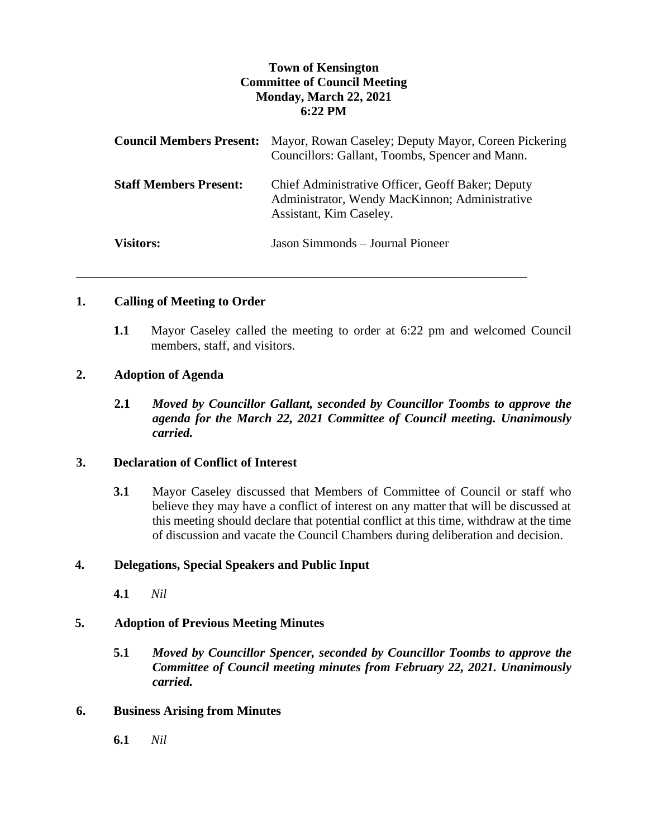# **Town of Kensington Committee of Council Meeting Monday, March 22, 2021 6:22 PM**

|                               | <b>Council Members Present:</b> Mayor, Rowan Caseley; Deputy Mayor, Coreen Pickering<br>Councillors: Gallant, Toombs, Spencer and Mann. |
|-------------------------------|-----------------------------------------------------------------------------------------------------------------------------------------|
| <b>Staff Members Present:</b> | Chief Administrative Officer, Geoff Baker; Deputy<br>Administrator, Wendy MacKinnon; Administrative<br>Assistant, Kim Caseley.          |
| <b>Visitors:</b>              | Jason Simmonds – Journal Pioneer                                                                                                        |

\_\_\_\_\_\_\_\_\_\_\_\_\_\_\_\_\_\_\_\_\_\_\_\_\_\_\_\_\_\_\_\_\_\_\_\_\_\_\_\_\_\_\_\_\_\_\_\_\_\_\_\_\_\_\_\_\_\_\_\_\_\_\_\_\_\_\_\_\_\_\_

#### **1. Calling of Meeting to Order**

**1.1** Mayor Caseley called the meeting to order at 6:22 pm and welcomed Council members, staff, and visitors.

#### **2. Adoption of Agenda**

**2.1** *Moved by Councillor Gallant, seconded by Councillor Toombs to approve the agenda for the March 22, 2021 Committee of Council meeting. Unanimously carried.*

#### **3. Declaration of Conflict of Interest**

**3.1** Mayor Caseley discussed that Members of Committee of Council or staff who believe they may have a conflict of interest on any matter that will be discussed at this meeting should declare that potential conflict at this time, withdraw at the time of discussion and vacate the Council Chambers during deliberation and decision.

### **4. Delegations, Special Speakers and Public Input**

**4.1** *Nil*

### **5. Adoption of Previous Meeting Minutes**

**5.1** *Moved by Councillor Spencer, seconded by Councillor Toombs to approve the Committee of Council meeting minutes from February 22, 2021. Unanimously carried.*

#### **6. Business Arising from Minutes**

**6.1** *Nil*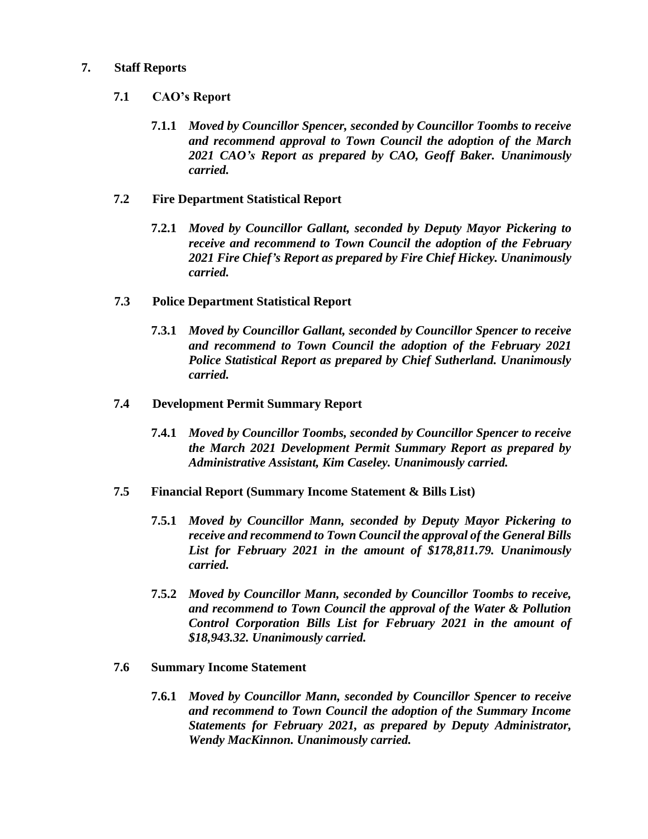### **7. Staff Reports**

## **7.1 CAO's Report**

**7.1.1** *Moved by Councillor Spencer, seconded by Councillor Toombs to receive and recommend approval to Town Council the adoption of the March 2021 CAO's Report as prepared by CAO, Geoff Baker. Unanimously carried.*

## **7.2 Fire Department Statistical Report**

**7.2.1** *Moved by Councillor Gallant, seconded by Deputy Mayor Pickering to receive and recommend to Town Council the adoption of the February 2021 Fire Chief's Report as prepared by Fire Chief Hickey. Unanimously carried.*

## **7.3 Police Department Statistical Report**

**7.3.1** *Moved by Councillor Gallant, seconded by Councillor Spencer to receive and recommend to Town Council the adoption of the February 2021 Police Statistical Report as prepared by Chief Sutherland. Unanimously carried.*

### **7.4 Development Permit Summary Report**

**7.4.1** *Moved by Councillor Toombs, seconded by Councillor Spencer to receive the March 2021 Development Permit Summary Report as prepared by Administrative Assistant, Kim Caseley. Unanimously carried.* 

### **7.5 Financial Report (Summary Income Statement & Bills List)**

- **7.5.1** *Moved by Councillor Mann, seconded by Deputy Mayor Pickering to receive and recommend to Town Council the approval of the General Bills List for February 2021 in the amount of \$178,811.79. Unanimously carried.*
- **7.5.2** *Moved by Councillor Mann, seconded by Councillor Toombs to receive, and recommend to Town Council the approval of the Water & Pollution Control Corporation Bills List for February 2021 in the amount of \$18,943.32. Unanimously carried.*

### **7.6 Summary Income Statement**

**7.6.1** *Moved by Councillor Mann, seconded by Councillor Spencer to receive and recommend to Town Council the adoption of the Summary Income Statements for February 2021, as prepared by Deputy Administrator, Wendy MacKinnon. Unanimously carried.*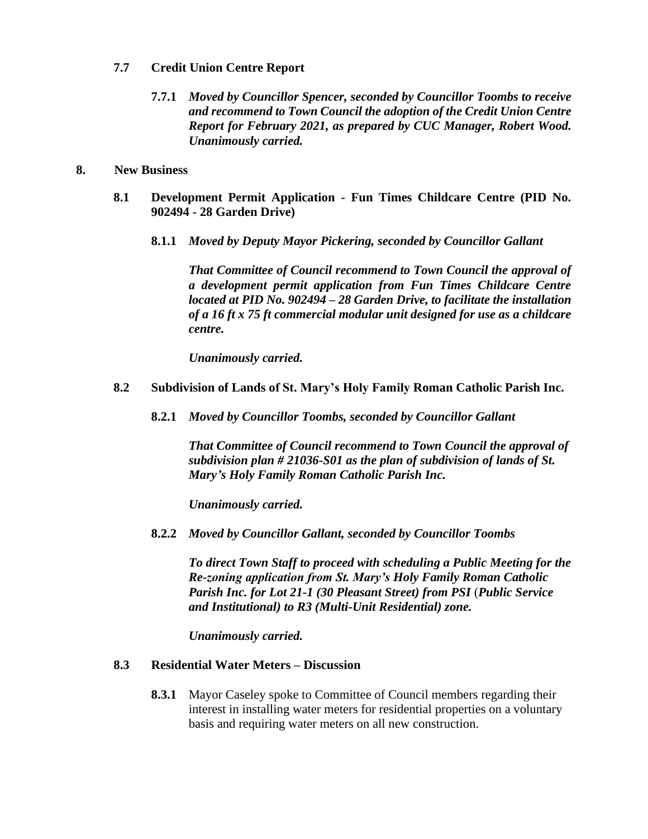### **7.7 Credit Union Centre Report**

**7.7.1** *Moved by Councillor Spencer, seconded by Councillor Toombs to receive and recommend to Town Council the adoption of the Credit Union Centre Report for February 2021, as prepared by CUC Manager, Robert Wood. Unanimously carried.*

#### **8. New Business**

- **8.1 Development Permit Application - Fun Times Childcare Centre (PID No. 902494 - 28 Garden Drive)**
	- **8.1.1** *Moved by Deputy Mayor Pickering, seconded by Councillor Gallant*

*That Committee of Council recommend to Town Council the approval of a development permit application from Fun Times Childcare Centre located at PID No. 902494 – 28 Garden Drive, to facilitate the installation of a 16 ft x 75 ft commercial modular unit designed for use as a childcare centre.* 

*Unanimously carried.* 

### **8.2 Subdivision of Lands of St. Mary's Holy Family Roman Catholic Parish Inc.**

**8.2.1** *Moved by Councillor Toombs, seconded by Councillor Gallant*

*That Committee of Council recommend to Town Council the approval of subdivision plan # 21036-S01 as the plan of subdivision of lands of St. Mary's Holy Family Roman Catholic Parish Inc.*

*Unanimously carried.* 

**8.2.2** *Moved by Councillor Gallant, seconded by Councillor Toombs*

*To direct Town Staff to proceed with scheduling a Public Meeting for the Re-zoning application from St. Mary's Holy Family Roman Catholic Parish Inc. for Lot 21-1 (30 Pleasant Street) from PSI* (*Public Service and Institutional) to R3 (Multi-Unit Residential) zone.* 

*Unanimously carried.* 

### **8.3 Residential Water Meters – Discussion**

**8.3.1** Mayor Caseley spoke to Committee of Council members regarding their interest in installing water meters for residential properties on a voluntary basis and requiring water meters on all new construction.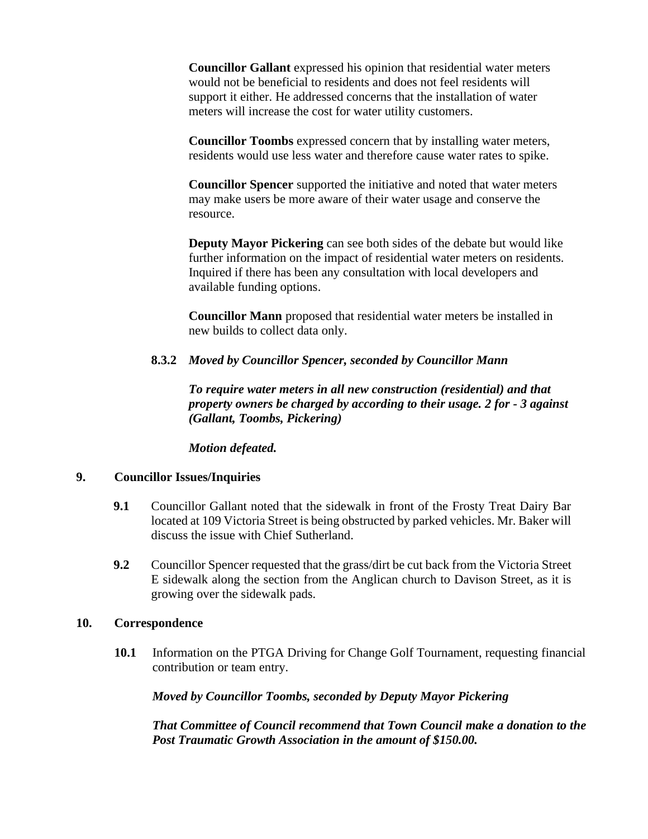**Councillor Gallant** expressed his opinion that residential water meters would not be beneficial to residents and does not feel residents will support it either. He addressed concerns that the installation of water meters will increase the cost for water utility customers.

**Councillor Toombs** expressed concern that by installing water meters, residents would use less water and therefore cause water rates to spike.

**Councillor Spencer** supported the initiative and noted that water meters may make users be more aware of their water usage and conserve the resource.

**Deputy Mayor Pickering** can see both sides of the debate but would like further information on the impact of residential water meters on residents. Inquired if there has been any consultation with local developers and available funding options.

**Councillor Mann** proposed that residential water meters be installed in new builds to collect data only.

### **8.3.2** *Moved by Councillor Spencer, seconded by Councillor Mann*

*To require water meters in all new construction (residential) and that property owners be charged by according to their usage. 2 for - 3 against (Gallant, Toombs, Pickering)* 

*Motion defeated.* 

#### **9. Councillor Issues/Inquiries**

- **9.1** Councillor Gallant noted that the sidewalk in front of the Frosty Treat Dairy Bar located at 109 Victoria Street is being obstructed by parked vehicles. Mr. Baker will discuss the issue with Chief Sutherland.
- **9.2** Councillor Spencer requested that the grass/dirt be cut back from the Victoria Street E sidewalk along the section from the Anglican church to Davison Street, as it is growing over the sidewalk pads.

### **10. Correspondence**

**10.1** Information on the PTGA Driving for Change Golf Tournament, requesting financial contribution or team entry.

*Moved by Councillor Toombs, seconded by Deputy Mayor Pickering* 

*That Committee of Council recommend that Town Council make a donation to the Post Traumatic Growth Association in the amount of \$150.00.*